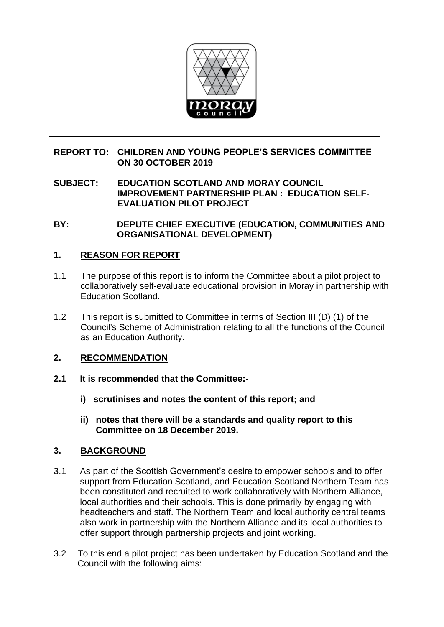

## **REPORT TO: CHILDREN AND YOUNG PEOPLE'S SERVICES COMMITTEE ON 30 OCTOBER 2019**

**SUBJECT: EDUCATION SCOTLAND AND MORAY COUNCIL IMPROVEMENT PARTNERSHIP PLAN : EDUCATION SELF-EVALUATION PILOT PROJECT**

**BY: DEPUTE CHIEF EXECUTIVE (EDUCATION, COMMUNITIES AND ORGANISATIONAL DEVELOPMENT)**

## **1. REASON FOR REPORT**

- 1.1 The purpose of this report is to inform the Committee about a pilot project to collaboratively self-evaluate educational provision in Moray in partnership with Education Scotland.
- 1.2 This report is submitted to Committee in terms of Section III (D) (1) of the Council's Scheme of Administration relating to all the functions of the Council as an Education Authority.

#### **2. RECOMMENDATION**

- **2.1 It is recommended that the Committee:**
	- **i) scrutinises and notes the content of this report; and**
	- **ii) notes that there will be a standards and quality report to this Committee on 18 December 2019.**

#### **3. BACKGROUND**

- 3.1 As part of the Scottish Government's desire to empower schools and to offer support from Education Scotland, and Education Scotland Northern Team has been constituted and recruited to work collaboratively with Northern Alliance, local authorities and their schools. This is done primarily by engaging with headteachers and staff. The Northern Team and local authority central teams also work in partnership with the Northern Alliance and its local authorities to offer support through partnership projects and joint working.
- 3.2 To this end a pilot project has been undertaken by Education Scotland and the Council with the following aims: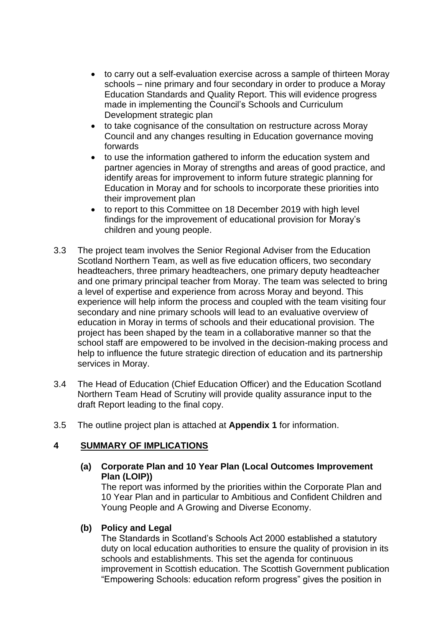- to carry out a self-evaluation exercise across a sample of thirteen Moray schools – nine primary and four secondary in order to produce a Moray Education Standards and Quality Report. This will evidence progress made in implementing the Council's Schools and Curriculum Development strategic plan
- to take cognisance of the consultation on restructure across Moray Council and any changes resulting in Education governance moving forwards
- to use the information gathered to inform the education system and partner agencies in Moray of strengths and areas of good practice, and identify areas for improvement to inform future strategic planning for Education in Moray and for schools to incorporate these priorities into their improvement plan
- to report to this Committee on 18 December 2019 with high level findings for the improvement of educational provision for Moray's children and young people.
- 3.3 The project team involves the Senior Regional Adviser from the Education Scotland Northern Team, as well as five education officers, two secondary headteachers, three primary headteachers, one primary deputy headteacher and one primary principal teacher from Moray. The team was selected to bring a level of expertise and experience from across Moray and beyond. This experience will help inform the process and coupled with the team visiting four secondary and nine primary schools will lead to an evaluative overview of education in Moray in terms of schools and their educational provision. The project has been shaped by the team in a collaborative manner so that the school staff are empowered to be involved in the decision-making process and help to influence the future strategic direction of education and its partnership services in Moray.
- 3.4 The Head of Education (Chief Education Officer) and the Education Scotland Northern Team Head of Scrutiny will provide quality assurance input to the draft Report leading to the final copy.
- 3.5 The outline project plan is attached at **Appendix 1** for information.

# **4 SUMMARY OF IMPLICATIONS**

## **(a) Corporate Plan and 10 Year Plan (Local Outcomes Improvement Plan (LOIP))**

The report was informed by the priorities within the Corporate Plan and 10 Year Plan and in particular to Ambitious and Confident Children and Young People and A Growing and Diverse Economy.

#### **(b) Policy and Legal**

The Standards in Scotland's Schools Act 2000 established a statutory duty on local education authorities to ensure the quality of provision in its schools and establishments. This set the agenda for continuous improvement in Scottish education. The Scottish Government publication "Empowering Schools: education reform progress" gives the position in